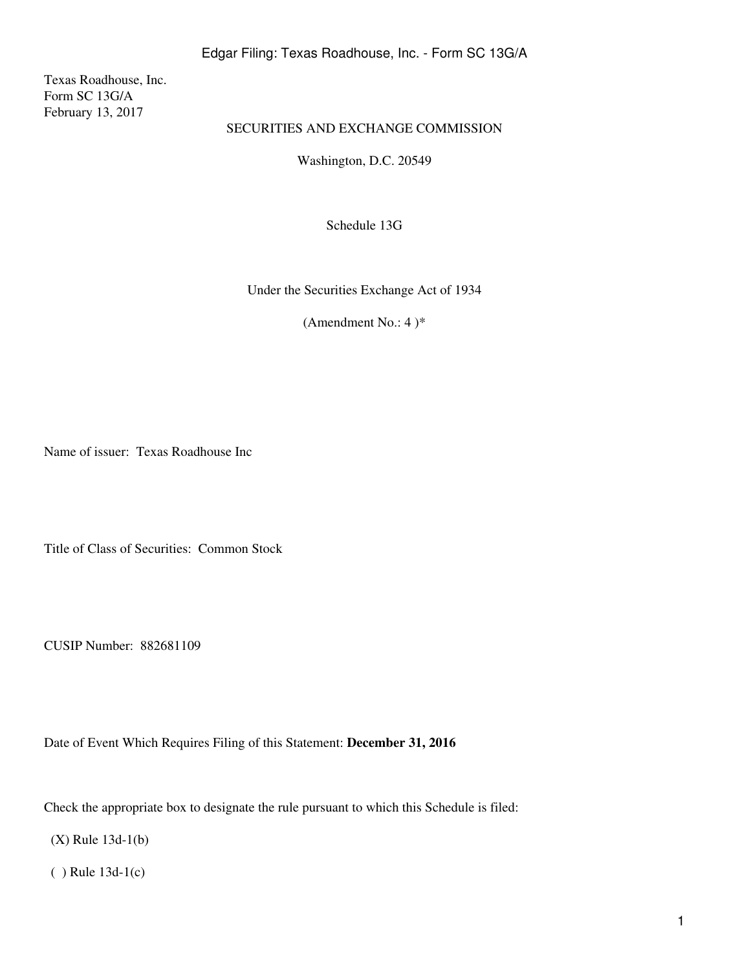Texas Roadhouse, Inc. Form SC 13G/A February 13, 2017

# SECURITIES AND EXCHANGE COMMISSION

Washington, D.C. 20549

Schedule 13G

Under the Securities Exchange Act of 1934

(Amendment No.: 4) $*$ 

Name of issuer: Texas Roadhouse Inc

Title of Class of Securities: Common Stock

CUSIP Number: 882681109

Date of Event Which Requires Filing of this Statement: **December 31, 2016**

Check the appropriate box to designate the rule pursuant to which this Schedule is filed:

(X) Rule 13d-1(b)

( ) Rule 13d-1(c)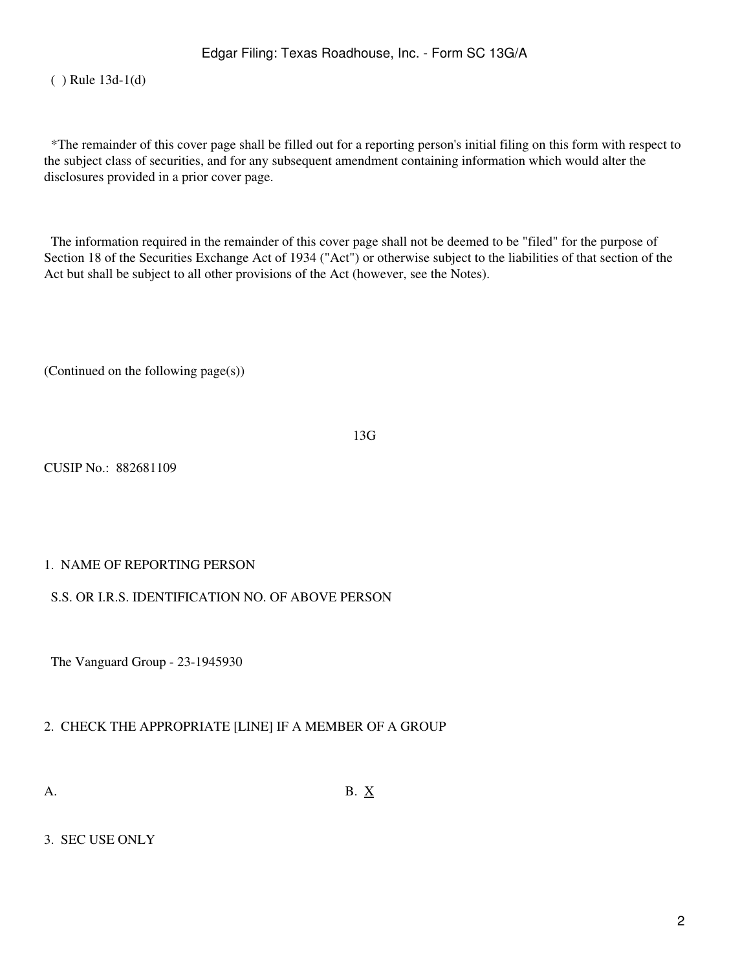( ) Rule 13d-1(d)

 \*The remainder of this cover page shall be filled out for a reporting person's initial filing on this form with respect to the subject class of securities, and for any subsequent amendment containing information which would alter the disclosures provided in a prior cover page.

 The information required in the remainder of this cover page shall not be deemed to be "filed" for the purpose of Section 18 of the Securities Exchange Act of 1934 ("Act") or otherwise subject to the liabilities of that section of the Act but shall be subject to all other provisions of the Act (however, see the Notes).

(Continued on the following page(s))

13G

CUSIP No.: 882681109

## 1. NAME OF REPORTING PERSON

#### S.S. OR I.R.S. IDENTIFICATION NO. OF ABOVE PERSON

The Vanguard Group - 23-1945930

## 2. CHECK THE APPROPRIATE [LINE] IF A MEMBER OF A GROUP

A. B.  $X$ 

#### 3. SEC USE ONLY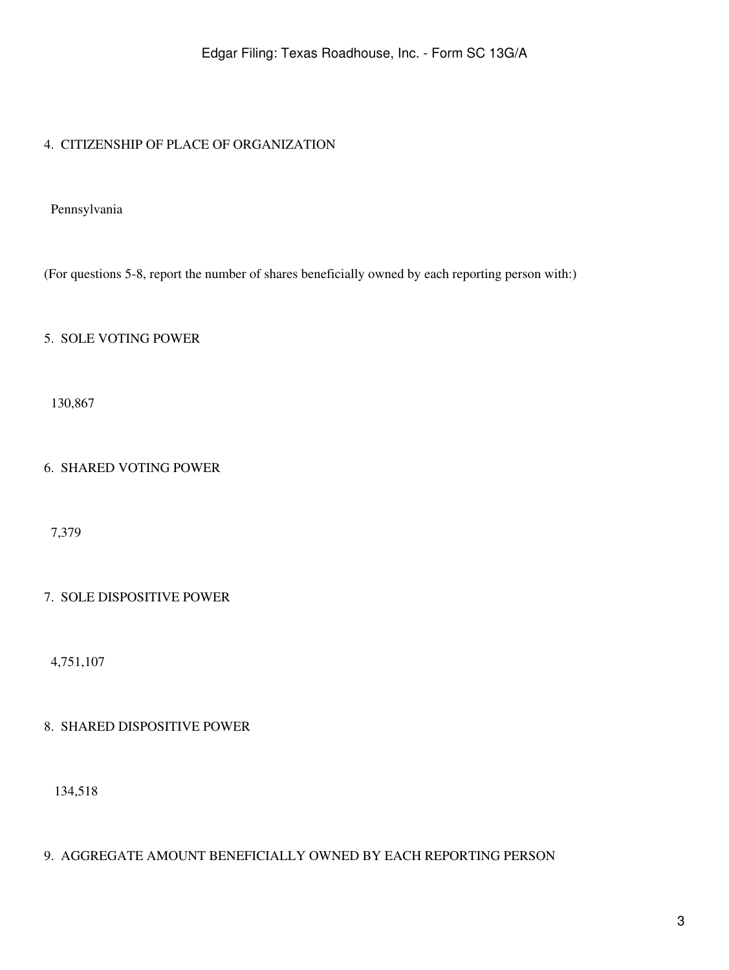# 4. CITIZENSHIP OF PLACE OF ORGANIZATION

Pennsylvania

(For questions 5-8, report the number of shares beneficially owned by each reporting person with:)

## 5. SOLE VOTING POWER

130,867

# 6. SHARED VOTING POWER

7,379

## 7. SOLE DISPOSITIVE POWER

4,751,107

## 8. SHARED DISPOSITIVE POWER

134,518

## 9. AGGREGATE AMOUNT BENEFICIALLY OWNED BY EACH REPORTING PERSON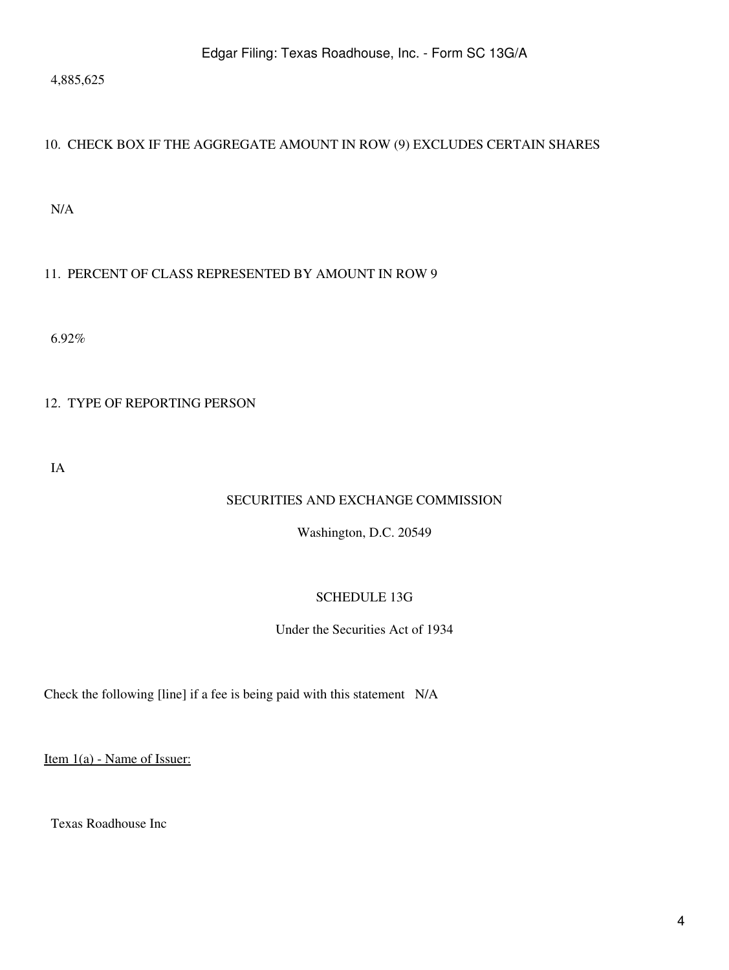4,885,625

# 10. CHECK BOX IF THE AGGREGATE AMOUNT IN ROW (9) EXCLUDES CERTAIN SHARES

N/A

# 11. PERCENT OF CLASS REPRESENTED BY AMOUNT IN ROW 9

6.92%

# 12. TYPE OF REPORTING PERSON

IA

# SECURITIES AND EXCHANGE COMMISSION

Washington, D.C. 20549

# SCHEDULE 13G

Under the Securities Act of 1934

Check the following [line] if a fee is being paid with this statement N/A

Item 1(a) - Name of Issuer:

Texas Roadhouse Inc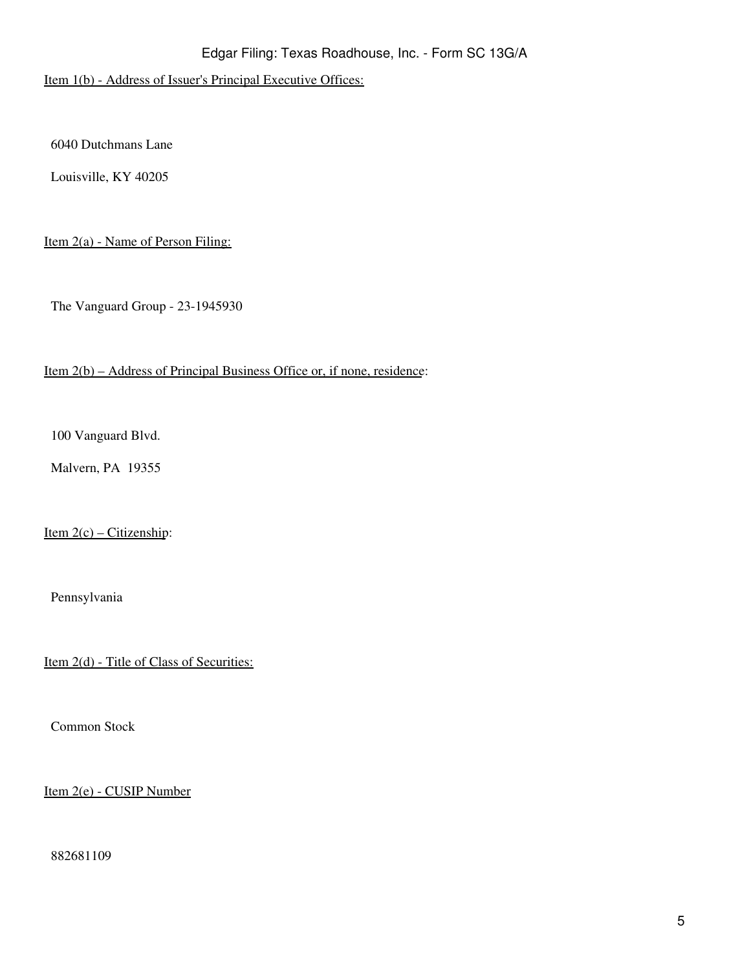Item 1(b) - Address of Issuer's Principal Executive Offices:

6040 Dutchmans Lane

Louisville, KY 40205

Item 2(a) - Name of Person Filing:

The Vanguard Group - 23-1945930

#### Item 2(b) – Address of Principal Business Office or, if none, residence:

100 Vanguard Blvd.

Malvern, PA 19355

Item  $2(c)$  – Citizenship:

Pennsylvania

Item 2(d) - Title of Class of Securities:

Common Stock

Item 2(e) - CUSIP Number

882681109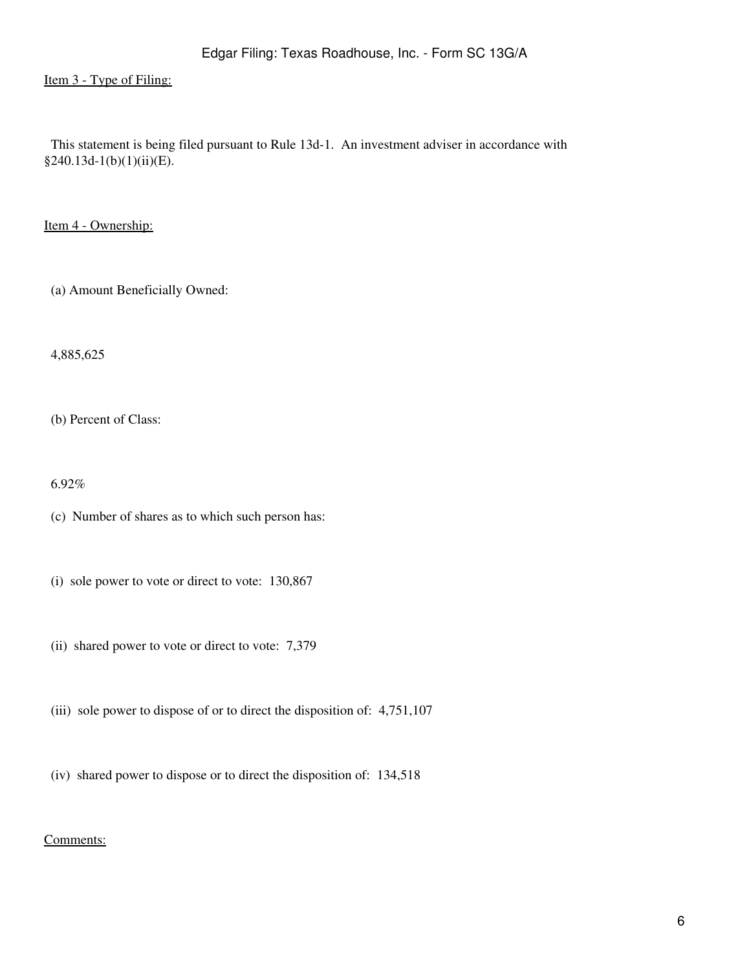Item 3 - Type of Filing:

 This statement is being filed pursuant to Rule 13d-1. An investment adviser in accordance with §240.13d-1(b)(1)(ii)(E).

Item 4 - Ownership:

(a) Amount Beneficially Owned:

4,885,625

(b) Percent of Class:

6.92%

(c) Number of shares as to which such person has:

- (i) sole power to vote or direct to vote: 130,867
- (ii) shared power to vote or direct to vote: 7,379
- (iii) sole power to dispose of or to direct the disposition of: 4,751,107
- (iv) shared power to dispose or to direct the disposition of: 134,518

#### Comments: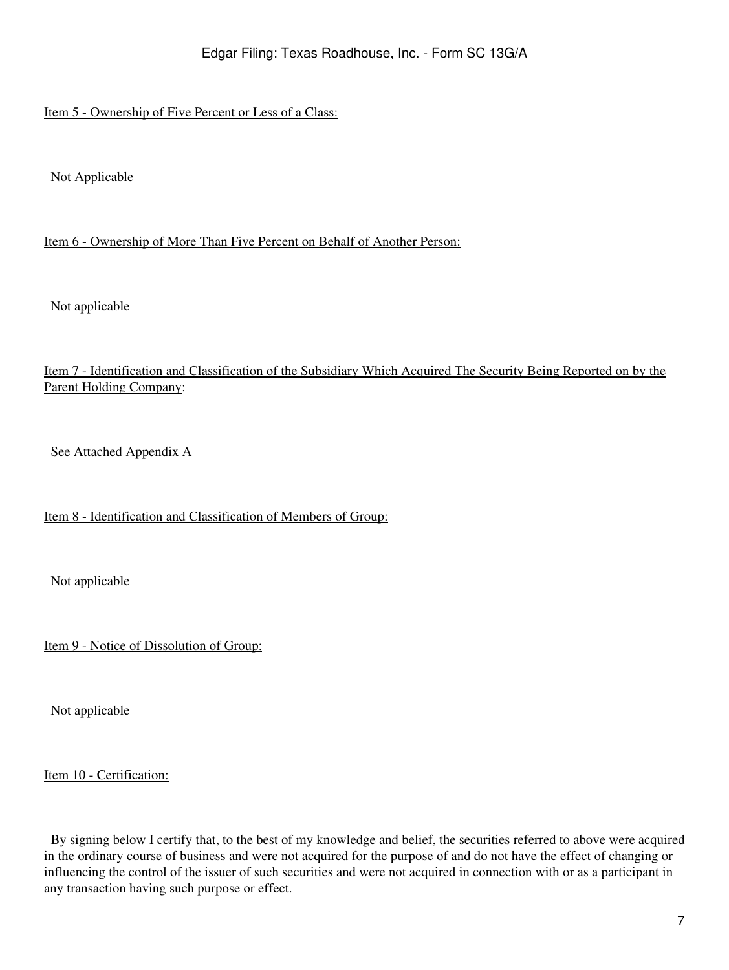# Item 5 - Ownership of Five Percent or Less of a Class:

Not Applicable

### Item 6 - Ownership of More Than Five Percent on Behalf of Another Person:

Not applicable

# Item 7 - Identification and Classification of the Subsidiary Which Acquired The Security Being Reported on by the Parent Holding Company:

See Attached Appendix A

## Item 8 - Identification and Classification of Members of Group:

Not applicable

Item 9 - Notice of Dissolution of Group:

Not applicable

Item 10 - Certification:

 By signing below I certify that, to the best of my knowledge and belief, the securities referred to above were acquired in the ordinary course of business and were not acquired for the purpose of and do not have the effect of changing or influencing the control of the issuer of such securities and were not acquired in connection with or as a participant in any transaction having such purpose or effect.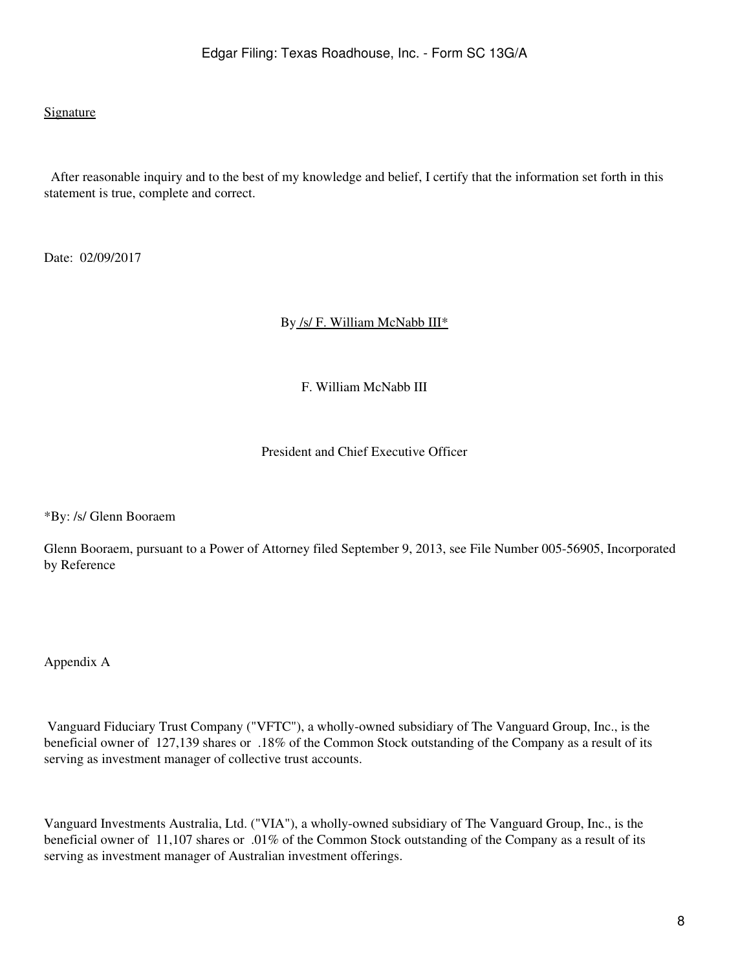#### Signature

 After reasonable inquiry and to the best of my knowledge and belief, I certify that the information set forth in this statement is true, complete and correct.

Date: 02/09/2017

By /s/ F. William McNabb III\*

F. William McNabb III

President and Chief Executive Officer

\*By: /s/ Glenn Booraem

Glenn Booraem, pursuant to a Power of Attorney filed September 9, 2013, see File Number 005-56905, Incorporated by Reference

Appendix A

 Vanguard Fiduciary Trust Company ("VFTC"), a wholly-owned subsidiary of The Vanguard Group, Inc., is the beneficial owner of 127,139 shares or .18% of the Common Stock outstanding of the Company as a result of its serving as investment manager of collective trust accounts.

Vanguard Investments Australia, Ltd. ("VIA"), a wholly-owned subsidiary of The Vanguard Group, Inc., is the beneficial owner of 11,107 shares or .01% of the Common Stock outstanding of the Company as a result of its serving as investment manager of Australian investment offerings.